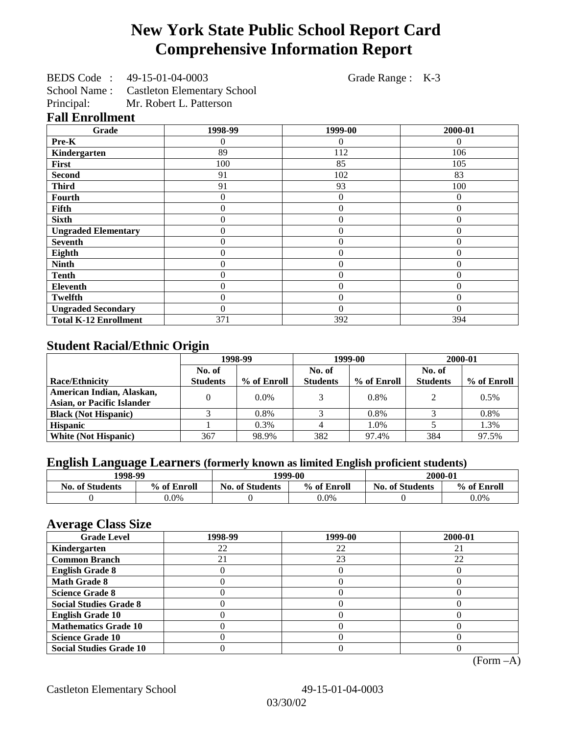# **New York State Public School Report Card Comprehensive Information Report**

BEDS Code : 49-15-01-04-0003 Grade Range : K-3

School Name : Castleton Elementary School<br>Principal: Mr. Robert L. Patterson

Mr. Robert L. Patterson

## **Fall Enrollment**

| Grade                        | 1998-99        | 1999-00        | 2000-01  |
|------------------------------|----------------|----------------|----------|
| Pre-K                        | $\Omega$       | $\Omega$       | 0        |
| Kindergarten                 | 89             | 112            | 106      |
| First                        | 100            | 85             | 105      |
| <b>Second</b>                | 91             | 102            | 83       |
| <b>Third</b>                 | 91             | 93             | 100      |
| <b>Fourth</b>                | 0              | 0              | $\theta$ |
| Fifth                        | 0              | $\overline{0}$ | $\Omega$ |
| <b>Sixth</b>                 | 0              | $\Omega$       | $\Omega$ |
| <b>Ungraded Elementary</b>   | 0              | $\Omega$       | $\theta$ |
| <b>Seventh</b>               | 0              | $\overline{0}$ | $\theta$ |
| Eighth                       | $\overline{0}$ | $\overline{0}$ | $\theta$ |
| <b>Ninth</b>                 | $\overline{0}$ | $\overline{0}$ | $\Omega$ |
| <b>Tenth</b>                 | $\overline{0}$ | $\overline{0}$ | $\theta$ |
| <b>Eleventh</b>              | 0              | $\overline{0}$ | $\theta$ |
| <b>Twelfth</b>               | $\overline{0}$ | $\overline{0}$ | $\theta$ |
| <b>Ungraded Secondary</b>    | $\Omega$       | $\theta$       | $\theta$ |
| <b>Total K-12 Enrollment</b> | 371            | 392            | 394      |

# **Student Racial/Ethnic Origin**

|                                   | 1998-99         |             | 1999-00         |             | 2000-01         |             |
|-----------------------------------|-----------------|-------------|-----------------|-------------|-----------------|-------------|
|                                   | No. of          |             | No. of          |             | No. of          |             |
| <b>Race/Ethnicity</b>             | <b>Students</b> | % of Enroll | <b>Students</b> | % of Enroll | <b>Students</b> | % of Enroll |
| American Indian, Alaskan,         | 0               | $0.0\%$     |                 | 0.8%        | $\mathcal{D}$   | 0.5%        |
| <b>Asian, or Pacific Islander</b> |                 |             |                 |             |                 |             |
| <b>Black (Not Hispanic)</b>       |                 | 0.8%        |                 | 0.8%        |                 | 0.8%        |
| <b>Hispanic</b>                   |                 | 0.3%        |                 | 1.0%        |                 | 1.3%        |
| <b>White (Not Hispanic)</b>       | 367             | 98.9%       | 382             | 97.4%       | 384             | 97.5%       |

# **English Language Learners (formerly known as limited English proficient students)**

| 1998-99                |             | 1999-00                |             | 2000-01                |             |
|------------------------|-------------|------------------------|-------------|------------------------|-------------|
| <b>No. of Students</b> | % of Enroll | <b>No. of Students</b> | % of Enroll | <b>No. of Students</b> | % of Enroll |
|                        | $0.0\%$     |                        | $0.0\%$     |                        | $0.0\%$     |

#### **Average Class Size**

| <b>Grade Level</b>             | 1998-99 | 1999-00 | 2000-01 |
|--------------------------------|---------|---------|---------|
| Kindergarten                   | 22      | 22      |         |
| <b>Common Branch</b>           |         | 23      | 22      |
| <b>English Grade 8</b>         |         |         |         |
| <b>Math Grade 8</b>            |         |         |         |
| <b>Science Grade 8</b>         |         |         |         |
| <b>Social Studies Grade 8</b>  |         |         |         |
| <b>English Grade 10</b>        |         |         |         |
| <b>Mathematics Grade 10</b>    |         |         |         |
| <b>Science Grade 10</b>        |         |         |         |
| <b>Social Studies Grade 10</b> |         |         |         |

(Form –A)